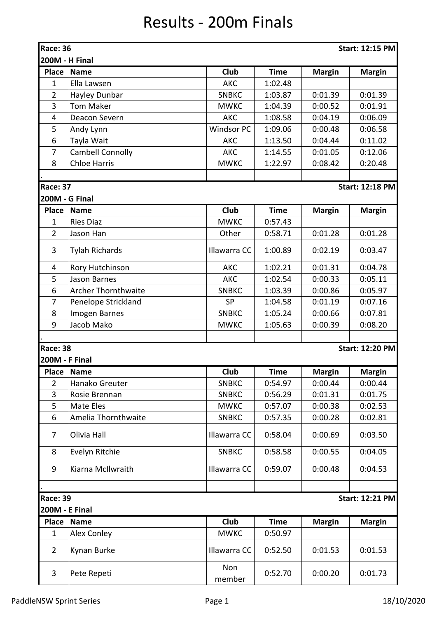## Results - 200m Finals

| Race: 36<br><b>Start: 12:15 PM</b><br><b>200M - H Final</b> |                                           |                   |             |               |                        |  |  |  |
|-------------------------------------------------------------|-------------------------------------------|-------------------|-------------|---------------|------------------------|--|--|--|
| <b>Place</b>                                                | Name                                      | Club              | <b>Time</b> | <b>Margin</b> | <b>Margin</b>          |  |  |  |
| 1                                                           | Ella Lawsen                               | <b>AKC</b>        | 1:02.48     |               |                        |  |  |  |
| $\overline{2}$                                              | Hayley Dunbar                             | <b>SNBKC</b>      | 1:03.87     | 0:01.39       | 0:01.39                |  |  |  |
| 3                                                           | <b>Tom Maker</b>                          | <b>MWKC</b>       | 1:04.39     | 0:00.52       | 0:01.91                |  |  |  |
| 4                                                           | Deacon Severn                             | <b>AKC</b>        | 1:08.58     | 0:04.19       | 0:06.09                |  |  |  |
| 5                                                           | Andy Lynn                                 | <b>Windsor PC</b> | 1:09.06     | 0:00.48       | 0:06.58                |  |  |  |
| 6                                                           | Tayla Wait                                | <b>AKC</b>        | 1:13.50     | 0:04.44       | 0:11.02                |  |  |  |
| $\overline{7}$                                              | <b>Cambell Connolly</b>                   | <b>AKC</b>        | 1:14.55     | 0:01.05       | 0:12.06                |  |  |  |
| 8                                                           | <b>Chloe Harris</b>                       | <b>MWKC</b>       | 1:22.97     | 0:08.42       | 0:20.48                |  |  |  |
| <b>Race: 37</b>                                             |                                           |                   |             |               | <b>Start: 12:18 PM</b> |  |  |  |
|                                                             | <b>200M - G Final</b>                     |                   |             |               |                        |  |  |  |
| <b>Place</b>                                                | Name                                      | Club              | <b>Time</b> | <b>Margin</b> | <b>Margin</b>          |  |  |  |
| 1                                                           | <b>Ries Diaz</b>                          | <b>MWKC</b>       | 0:57.43     |               |                        |  |  |  |
| $\overline{2}$                                              | Jason Han                                 | Other             | 0:58.71     | 0:01.28       | 0:01.28                |  |  |  |
| 3                                                           | <b>Tylah Richards</b>                     | Illawarra CC      | 1:00.89     | 0:02.19       | 0:03.47                |  |  |  |
| 4                                                           | Rory Hutchinson                           | <b>AKC</b>        | 1:02.21     | 0:01.31       | 0:04.78                |  |  |  |
| 5                                                           | <b>Jason Barnes</b>                       | <b>AKC</b>        | 1:02.54     | 0:00.33       | 0:05.11                |  |  |  |
| 6                                                           | <b>Archer Thornthwaite</b>                | <b>SNBKC</b>      | 1:03.39     | 0:00.86       | 0:05.97                |  |  |  |
| 7                                                           | Penelope Strickland                       | <b>SP</b>         | 1:04.58     | 0:01.19       | 0:07.16                |  |  |  |
| 8                                                           | Imogen Barnes                             | <b>SNBKC</b>      | 1:05.24     | 0:00.66       | 0:07.81                |  |  |  |
| 9                                                           | Jacob Mako                                | <b>MWKC</b>       | 1:05.63     | 0:00.39       | 0:08.20                |  |  |  |
|                                                             | <b>Start: 12:20 PM</b><br><b>Race: 38</b> |                   |             |               |                        |  |  |  |
| 200M - F Final                                              |                                           |                   |             |               |                        |  |  |  |
| <b>Place</b>                                                | <b>Name</b>                               | Club              | <b>Time</b> | <b>Margin</b> | <b>Margin</b>          |  |  |  |
| $\overline{2}$                                              | Hanako Greuter                            | <b>SNBKC</b>      | 0:54.97     | 0:00.44       | 0:00.44                |  |  |  |
| 3                                                           | Rosie Brennan                             | <b>SNBKC</b>      | 0:56.29     | 0:01.31       | 0:01.75                |  |  |  |
| 5                                                           | Mate Eles                                 | <b>MWKC</b>       | 0:57.07     | 0:00.38       | 0:02.53                |  |  |  |
| 6                                                           | Amelia Thornthwaite                       | <b>SNBKC</b>      | 0:57.35     | 0:00.28       | 0:02.81                |  |  |  |
| $\overline{7}$                                              | Olivia Hall                               | Illawarra CC      | 0:58.04     | 0:00.69       | 0:03.50                |  |  |  |
| 8                                                           | Evelyn Ritchie                            | <b>SNBKC</b>      | 0:58.58     | 0:00.55       | 0:04.05                |  |  |  |
| 9                                                           | Kiarna McIlwraith                         | Illawarra CC      | 0:59.07     | 0:00.48       | 0:04.53                |  |  |  |
|                                                             |                                           |                   |             |               |                        |  |  |  |
| <b>Race: 39</b><br><b>200M - E Final</b>                    |                                           |                   |             |               | <b>Start: 12:21 PM</b> |  |  |  |
| <b>Place</b>                                                | Name                                      | Club              | <b>Time</b> | <b>Margin</b> | <b>Margin</b>          |  |  |  |
| 1                                                           | Alex Conley                               | <b>MWKC</b>       | 0:50.97     |               |                        |  |  |  |
| $\overline{2}$                                              | Kynan Burke                               | Illawarra CC      | 0:52.50     | 0:01.53       | 0:01.53                |  |  |  |
| $\mathbf{3}$                                                | Pete Repeti                               | Non<br>member     | 0:52.70     | 0:00.20       | 0:01.73                |  |  |  |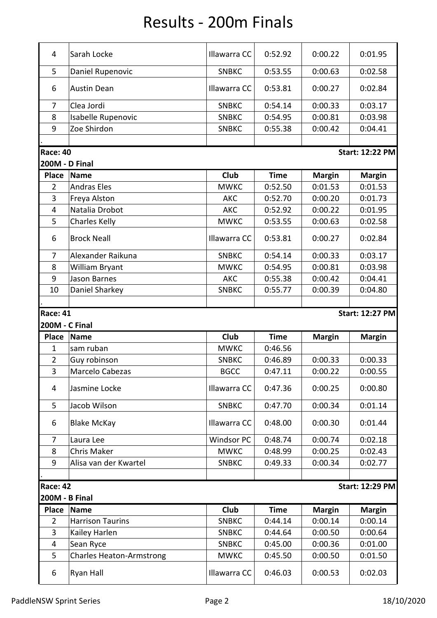## Results - 200m Finals

| 4                     | Sarah Locke                      | Illawarra CC                | 0:52.92            | 0:00.22            | 0:01.95                |  |  |  |
|-----------------------|----------------------------------|-----------------------------|--------------------|--------------------|------------------------|--|--|--|
| 5                     | Daniel Rupenovic                 | <b>SNBKC</b>                | 0:53.55            | 0:00.63            | 0:02.58                |  |  |  |
| 6                     | <b>Austin Dean</b>               | Illawarra CC                | 0:53.81            | 0:00.27            | 0:02.84                |  |  |  |
| $\overline{7}$        | Clea Jordi                       | <b>SNBKC</b>                | 0:54.14            | 0:00.33            | 0:03.17                |  |  |  |
| 8                     | Isabelle Rupenovic               | <b>SNBKC</b>                | 0:54.95            | 0:00.81            | 0:03.98                |  |  |  |
| 9                     | Zoe Shirdon                      | <b>SNBKC</b>                | 0:55.38            | 0:00.42            | 0:04.41                |  |  |  |
|                       |                                  |                             |                    |                    |                        |  |  |  |
| <b>Race: 40</b>       | <b>Start: 12:22 PM</b>           |                             |                    |                    |                        |  |  |  |
| <b>200M - D Final</b> |                                  |                             |                    |                    |                        |  |  |  |
| <b>Place</b>          | <b>Name</b>                      | Club                        | <b>Time</b>        | <b>Margin</b>      | <b>Margin</b>          |  |  |  |
| $\overline{2}$        | <b>Andras Eles</b>               | <b>MWKC</b>                 | 0:52.50            | 0:01.53            | 0:01.53                |  |  |  |
| 3                     | Freya Alston                     | <b>AKC</b>                  | 0:52.70            | 0:00.20            | 0:01.73                |  |  |  |
| 4                     | Natalia Drobot                   | <b>AKC</b>                  | 0:52.92            | 0:00.22            | 0:01.95                |  |  |  |
| 5                     | <b>Charles Kelly</b>             | <b>MWKC</b>                 | 0:53.55            | 0:00.63            | 0:02.58                |  |  |  |
| 6                     | <b>Brock Neall</b>               | Illawarra CC                | 0:53.81            | 0:00.27            | 0:02.84                |  |  |  |
| 7                     | Alexander Raikuna                | <b>SNBKC</b>                | 0:54.14            | 0:00.33            | 0:03.17                |  |  |  |
| 8                     | William Bryant                   | <b>MWKC</b>                 | 0:54.95            | 0:00.81            | 0:03.98                |  |  |  |
| 9                     | <b>Jason Barnes</b>              | <b>AKC</b>                  | 0:55.38            | 0:00.42            | 0:04.41                |  |  |  |
| 10                    | Daniel Sharkey                   | <b>SNBKC</b>                | 0:55.77            | 0:00.39            | 0:04.80                |  |  |  |
|                       |                                  |                             |                    |                    |                        |  |  |  |
|                       |                                  |                             |                    |                    |                        |  |  |  |
|                       |                                  |                             |                    |                    |                        |  |  |  |
| <b>Race: 41</b>       |                                  |                             |                    |                    | <b>Start: 12:27 PM</b> |  |  |  |
| <b>200M - C Final</b> |                                  |                             |                    |                    |                        |  |  |  |
| <b>Place</b>          | <b>Name</b>                      | Club                        | <b>Time</b>        | <b>Margin</b>      | <b>Margin</b>          |  |  |  |
| $\mathbf{1}$          | sam ruban                        | <b>MWKC</b>                 | 0:46.56            |                    |                        |  |  |  |
| $\overline{2}$        | Guy robinson                     | <b>SNBKC</b>                | 0:46.89            | 0:00.33            | 0:00.33                |  |  |  |
| 3<br>4                | Marcelo Cabezas<br>Jasmine Locke | <b>BGCC</b><br>Illawarra CC | 0:47.11<br>0:47.36 | 0:00.22<br>0:00.25 | 0:00.55<br>0:00.80     |  |  |  |
|                       |                                  |                             |                    |                    |                        |  |  |  |
| 5                     | Jacob Wilson                     | <b>SNBKC</b>                | 0:47.70            | 0:00.34            | 0:01.14                |  |  |  |
| 6                     | <b>Blake McKay</b>               | Illawarra CC                | 0:48.00            | 0:00.30            | 0:01.44                |  |  |  |
| 7                     | Laura Lee                        | <b>Windsor PC</b>           | 0:48.74            | 0:00.74            | 0:02.18                |  |  |  |
| 8                     | Chris Maker                      | <b>MWKC</b>                 | 0:48.99            | 0:00.25            | 0:02.43                |  |  |  |
| 9                     | Alisa van der Kwartel            | <b>SNBKC</b>                | 0:49.33            | 0:00.34            | 0:02.77                |  |  |  |
|                       |                                  |                             |                    |                    |                        |  |  |  |
| <b>Race: 42</b>       |                                  |                             |                    |                    | <b>Start: 12:29 PM</b> |  |  |  |
| <b>200M - B Final</b> |                                  |                             |                    |                    |                        |  |  |  |
| <b>Place</b>          | <b>Name</b>                      | Club                        | <b>Time</b>        | <b>Margin</b>      | <b>Margin</b>          |  |  |  |
| $\overline{2}$        | <b>Harrison Taurins</b>          | <b>SNBKC</b>                | 0:44.14            | 0:00.14            | 0:00.14                |  |  |  |
| $\overline{3}$        | Kailey Harlen                    | <b>SNBKC</b>                | 0:44.64            | 0:00.50            | 0:00.64                |  |  |  |
| 4                     | Sean Ryce                        | <b>SNBKC</b>                | 0:45.00            | 0:00.36            | 0:01.00                |  |  |  |
| 5                     | <b>Charles Heaton-Armstrong</b>  | <b>MWKC</b>                 | 0:45.50            | 0:00.50            | 0:01.50                |  |  |  |